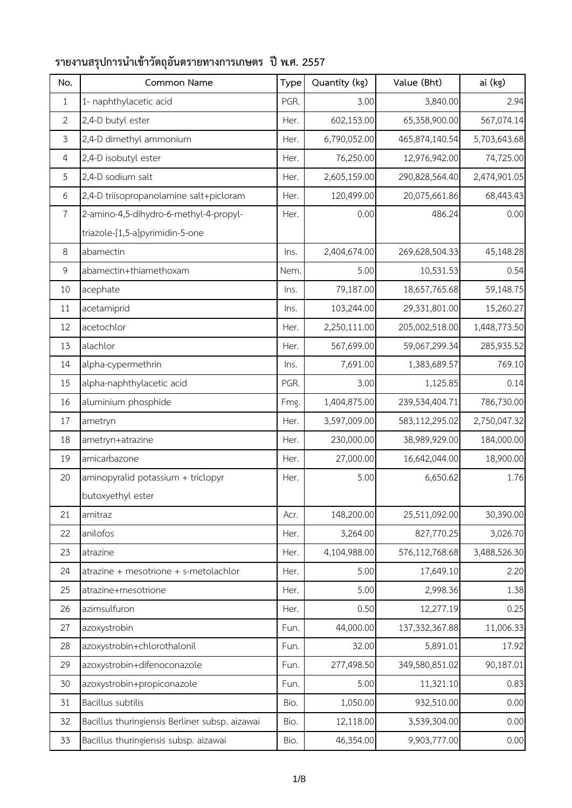| No.            | Common Name                                    | Type | Quantity (kg) | Value (Bht)      | ai (kg)      |
|----------------|------------------------------------------------|------|---------------|------------------|--------------|
| $\mathbf{1}$   | 1- naphthylacetic acid                         | PGR. | 3.00          | 3,840.00         | 2.94         |
| $\overline{2}$ | 2,4-D butyl ester                              | Her. | 602,153.00    | 65,358,900.00    | 567,074.14   |
| 3              | 2,4-D dimethyl ammonium                        | Her. | 6,790,052.00  | 465,874,140.54   | 5,703,643.68 |
| 4              | 2,4-D isobutyl ester                           | Her. | 76,250.00     | 12,976,942.00    | 74,725.00    |
| 5              | 2,4-D sodium salt                              | Her. | 2,605,159.00  | 290,828,564.40   | 2,474,901.05 |
| 6              | 2,4-D triisopropanolamine salt+picloram        | Her. | 120,499.00    | 20,075,661.86    | 68,443.43    |
| $\overline{7}$ | 2-amino-4,5-dihydro-6-methyl-4-propyl-         | Her. | 0.00          | 486.24           | 0.00         |
|                | triazole-[1,5-a]pyrimidin-5-one                |      |               |                  |              |
| 8              | abamectin                                      | Ins. | 2,404,674.00  | 269,628,504.33   | 45,148.28    |
| 9              | abamectin+thiamethoxam                         | Nem. | 5.00          | 10,531.53        | 0.54         |
| 10             | acephate                                       | Ins. | 79,187.00     | 18,657,765.68    | 59,148.75    |
| 11             | acetamiprid                                    | Ins. | 103,244.00    | 29,331,801.00    | 15,260.27    |
| 12             | acetochlor                                     | Her. | 2,250,111.00  | 205,002,518.00   | 1,448,773.50 |
| 13             | alachlor                                       | Her. | 567,699.00    | 59,067,299.34    | 285,935.52   |
| 14             | alpha-cypermethrin                             | Ins. | 7,691.00      | 1,383,689.57     | 769.10       |
| 15             | alpha-naphthylacetic acid                      | PGR. | 3.00          | 1,125.85         | 0.14         |
| 16             | aluminium phosphide                            | Fmg. | 1,404,875.00  | 239,534,404.71   | 786,730.00   |
| 17             | ametryn                                        | Her. | 3,597,009.00  | 583,112,295.02   | 2,750,047.32 |
| 18             | ametryn+atrazine                               | Her. | 230,000.00    | 38,989,929.00    | 184,000.00   |
| 19             | amicarbazone                                   | Her. | 27,000.00     | 16,642,044.00    | 18,900.00    |
| 20             | aminopyralid potassium + triclopyr             | Her. | 5.00          | 6,650.62         | 1.76         |
|                | butoxyethyl ester                              |      |               |                  |              |
| 21             | amitraz                                        | Acr. | 148,200.00    | 25,511,092.00    | 30,390.00    |
| 22             | anilofos                                       | Her. | 3,264.00      | 827,770.25       | 3,026.70     |
| 23             | atrazine                                       | Her. | 4,104,988.00  | 576,112,768.68   | 3,488,526.30 |
| 24             | atrazine + mesotrione + s-metolachlor          | Her. | 5.00          | 17,649.10        | 2.20         |
| 25             | atrazine+mesotrione                            | Her. | 5.00          | 2,998.36         | 1.38         |
| 26             | azimsulfuron                                   | Her. | 0.50          | 12,277.19        | 0.25         |
| 27             | azoxystrobin                                   | Fun. | 44,000.00     | 137, 332, 367.88 | 11,006.33    |
| 28             | azoxystrobin+chlorothalonil                    | Fun. | 32.00         | 5,891.01         | 17.92        |
| 29             | azoxystrobin+difenoconazole                    | Fun. | 277,498.50    | 349,580,851.02   | 90,187.01    |
| 30             | azoxystrobin+propiconazole                     | Fun. | 5.00          | 11,321.10        | 0.83         |
| 31             | Bacillus subtilis                              | Bio. | 1,050.00      | 932,510.00       | 0.00         |
| 32             | Bacillus thuringiensis Berliner subsp. aizawai | Bio. | 12,118.00     | 3,539,304.00     | 0.00         |
| 33             | Bacillus thuringiensis subsp. aizawai          | Bio. | 46,354.00     | 9,903,777.00     | 0.00         |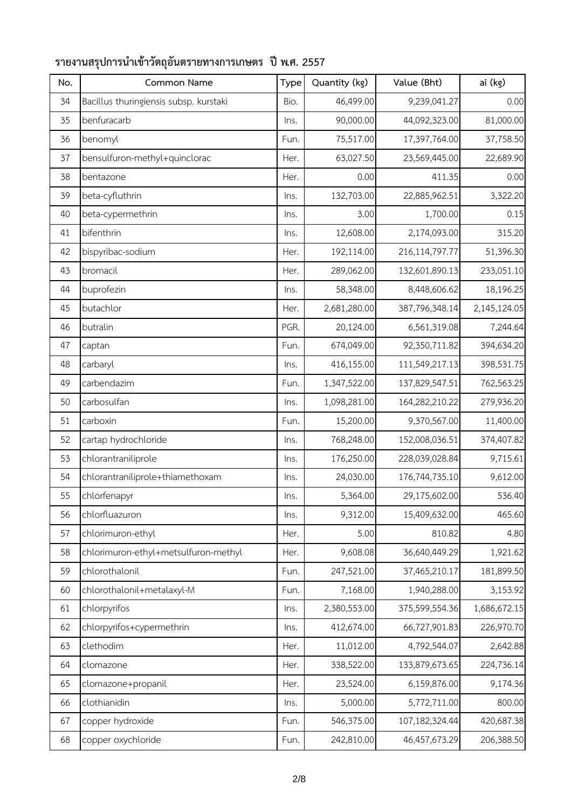| No. | Common Name                            | Type | Quantity (kg) | Value (Bht)      | ai (kg)      |
|-----|----------------------------------------|------|---------------|------------------|--------------|
| 34  | Bacillus thuringiensis subsp. kurstaki | Bio. | 46,499.00     | 9,239,041.27     | 0.00         |
| 35  | benfuracarb                            | Ins. | 90,000.00     | 44,092,323.00    | 81,000.00    |
| 36  | benomyl                                | Fun. | 75,517.00     | 17,397,764.00    | 37,758.50    |
| 37  | bensulfuron-methyl+quinclorac          | Her. | 63,027.50     | 23,569,445.00    | 22,689.90    |
| 38  | bentazone                              | Her. | 0.00          | 411.35           | 0.00         |
| 39  | beta-cyfluthrin                        | Ins. | 132,703.00    | 22,885,962.51    | 3,322.20     |
| 40  | beta-cypermethrin                      | Ins. | 3.00          | 1,700.00         | 0.15         |
| 41  | bifenthrin                             | Ins. | 12,608.00     | 2,174,093.00     | 315.20       |
| 42  | bispyribac-sodium                      | Her. | 192,114.00    | 216,114,797.77   | 51,396.30    |
| 43  | bromacil                               | Her. | 289,062.00    | 132,601,890.13   | 233,051.10   |
| 44  | buprofezin                             | Ins. | 58,348.00     | 8,448,606.62     | 18,196.25    |
| 45  | butachlor                              | Her. | 2,681,280.00  | 387,796,348.14   | 2,145,124.05 |
| 46  | butralin                               | PGR. | 20,124.00     | 6,561,319.08     | 7,244.64     |
| 47  | captan                                 | Fun. | 674,049.00    | 92,350,711.82    | 394,634.20   |
| 48  | carbaryl                               | Ins. | 416,155.00    | 111,549,217.13   | 398,531.75   |
| 49  | carbendazim                            | Fun. | 1,347,522.00  | 137,829,547.51   | 762,563.25   |
| 50  | carbosulfan                            | Ins. | 1,098,281.00  | 164,282,210.22   | 279,936.20   |
| 51  | carboxin                               | Fun. | 15,200.00     | 9,370,567.00     | 11,400.00    |
| 52  | cartap hydrochloride                   | Ins. | 768,248.00    | 152,008,036.51   | 374,407.82   |
| 53  | chlorantraniliprole                    | Ins. | 176,250.00    | 228,039,028.84   | 9,715.61     |
| 54  | chlorantraniliprole+thiamethoxam       | Ins. | 24,030.00     | 176,744,735.10   | 9,612.00     |
| 55  | chlorfenapyr                           | Ins. | 5,364.00      | 29,175,602.00    | 536.40       |
| 56  | chlorfluazuron                         | Ins. | 9,312.00      | 15,409,632.00    | 465.60       |
| 57  | chlorimuron-ethyl                      | Her. | 5.00          | 810.82           | 4.80         |
| 58  | chlorimuron-ethyl+metsulfuron-methyl   | Her. | 9,608.08      | 36,640,449.29    | 1,921.62     |
| 59  | chlorothalonil                         | Fun. | 247,521.00    | 37,465,210.17    | 181,899.50   |
| 60  | chlorothalonil+metalaxyl-M             | Fun. | 7,168.00      | 1,940,288.00     | 3,153.92     |
| 61  | chlorpyrifos                           | Ins. | 2,380,553.00  | 375,599,554.36   | 1,686,672.15 |
| 62  | chlorpyrifos+cypermethrin              | Ins. | 412,674.00    | 66,727,901.83    | 226,970.70   |
| 63  | clethodim                              | Her. | 11,012.00     | 4,792,544.07     | 2,642.88     |
| 64  | clomazone                              | Her. | 338,522.00    | 133,879,673.65   | 224,736.14   |
| 65  | clomazone+propanil                     | Her. | 23,524.00     | 6,159,876.00     | 9,174.36     |
| 66  | clothianidin                           | Ins. | 5,000.00      | 5,772,711.00     | 800.00       |
| 67  | copper hydroxide                       | Fun. | 546,375.00    | 107,182,324.44   | 420,687.38   |
| 68  | copper oxychloride                     | Fun. | 242,810.00    | 46, 457, 673. 29 | 206,388.50   |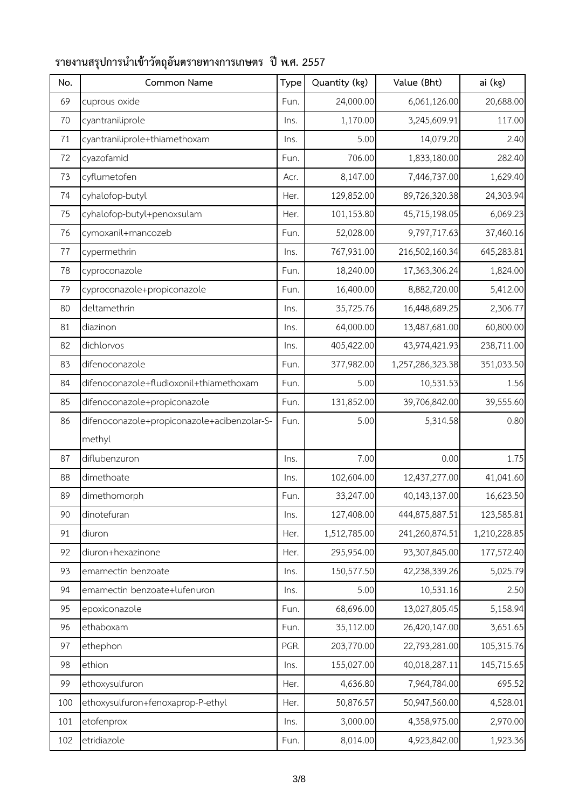| No. | Common Name                                 | Type | Quantity (kg) | Value (Bht)      | ai (kg)      |
|-----|---------------------------------------------|------|---------------|------------------|--------------|
| 69  | cuprous oxide                               | Fun. | 24,000.00     | 6,061,126.00     | 20,688.00    |
| 70  | cyantraniliprole                            | Ins. | 1,170.00      | 3,245,609.91     | 117.00       |
| 71  | cyantraniliprole+thiamethoxam               | Ins. | 5.00          | 14,079.20        | 2.40         |
| 72  | cyazofamid                                  | Fun. | 706.00        | 1,833,180.00     | 282.40       |
| 73  | cyflumetofen                                | Acr. | 8,147.00      | 7,446,737.00     | 1,629.40     |
| 74  | cyhalofop-butyl                             | Her. | 129,852.00    | 89,726,320.38    | 24,303.94    |
| 75  | cyhalofop-butyl+penoxsulam                  | Her. | 101,153.80    | 45,715,198.05    | 6,069.23     |
| 76  | cymoxanil+mancozeb                          | Fun. | 52,028.00     | 9,797,717.63     | 37,460.16    |
| 77  | cypermethrin                                | Ins. | 767,931.00    | 216,502,160.34   | 645,283.81   |
| 78  | cyproconazole                               | Fun. | 18,240.00     | 17,363,306.24    | 1,824.00     |
| 79  | cyproconazole+propiconazole                 | Fun. | 16,400.00     | 8,882,720.00     | 5,412.00     |
| 80  | deltamethrin                                | Ins. | 35,725.76     | 16,448,689.25    | 2,306.77     |
| 81  | diazinon                                    | Ins. | 64,000.00     | 13,487,681.00    | 60,800.00    |
| 82  | dichlorvos                                  | Ins. | 405,422.00    | 43,974,421.93    | 238,711.00   |
| 83  | difenoconazole                              | Fun. | 377,982.00    | 1,257,286,323.38 | 351,033.50   |
| 84  | difenoconazole+fludioxonil+thiamethoxam     | Fun. | 5.00          | 10,531.53        | 1.56         |
| 85  | difenoconazole+propiconazole                | Fun. | 131,852.00    | 39,706,842.00    | 39,555.60    |
| 86  | difenoconazole+propiconazole+acibenzolar-S- | Fun. | 5.00          | 5,314.58         | 0.80         |
|     | methyl                                      |      |               |                  |              |
| 87  | diflubenzuron                               | Ins. | 7.00          | 0.00             | 1.75         |
| 88  | dimethoate                                  | Ins. | 102,604.00    | 12,437,277.00    | 41,041.60    |
| 89  | dimethomorph                                | Fun. | 33,247.00     | 40,143,137.00    | 16,623.50    |
| 90  | dinotefuran                                 | Ins. | 127,408.00    | 444,875,887.51   | 123,585.81   |
| 91  | diuron                                      | Her. | 1,512,785.00  | 241,260,874.51   | 1,210,228.85 |
| 92  | diuron+hexazinone                           | Her. | 295,954.00    | 93,307,845.00    | 177,572.40   |
| 93  | emamectin benzoate                          | Ins. | 150,577.50    | 42,238,339.26    | 5,025.79     |
| 94  | emamectin benzoate+lufenuron                | Ins. | 5.00          | 10,531.16        | 2.50         |
| 95  | epoxiconazole                               | Fun. | 68,696.00     | 13,027,805.45    | 5,158.94     |
| 96  | ethaboxam                                   | Fun. | 35,112.00     | 26,420,147.00    | 3,651.65     |
| 97  | ethephon                                    | PGR. | 203,770.00    | 22,793,281.00    | 105,315.76   |
| 98  | ethion                                      | Ins. | 155,027.00    | 40,018,287.11    | 145,715.65   |
| 99  | ethoxysulfuron                              | Her. | 4,636.80      | 7,964,784.00     | 695.52       |
| 100 | ethoxysulfuron+fenoxaprop-P-ethyl           | Her. | 50,876.57     | 50,947,560.00    | 4,528.01     |
| 101 | etofenprox                                  | Ins. | 3,000.00      | 4,358,975.00     | 2,970.00     |
| 102 | etridiazole                                 | Fun. | 8,014.00      | 4,923,842.00     | 1,923.36     |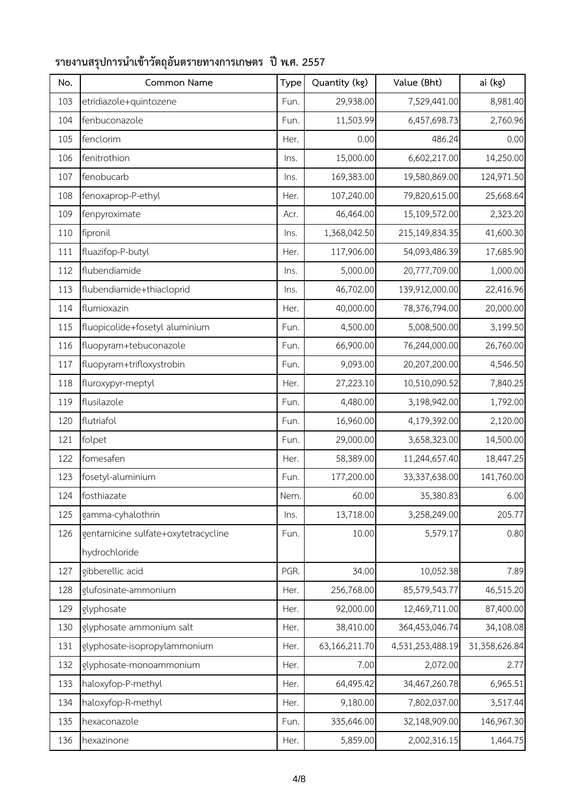| No. | Common Name                         | Type | Quantity (kg) | Value (Bht)      | ai (kg)       |
|-----|-------------------------------------|------|---------------|------------------|---------------|
| 103 | etridiazole+quintozene              | Fun. | 29,938.00     | 7,529,441.00     | 8,981.40      |
| 104 | fenbuconazole                       | Fun. | 11,503.99     | 6,457,698.73     | 2,760.96      |
| 105 | fenclorim                           | Her. | 0.00          | 486.24           | 0.00          |
| 106 | fenitrothion                        | Ins. | 15,000.00     | 6,602,217.00     | 14,250.00     |
| 107 | fenobucarb                          | Ins. | 169,383.00    | 19,580,869.00    | 124,971.50    |
| 108 | fenoxaprop-P-ethyl                  | Her. | 107,240.00    | 79,820,615.00    | 25,668.64     |
| 109 | fenpyroximate                       | Acr. | 46,464.00     | 15,109,572.00    | 2,323.20      |
| 110 | fipronil                            | Ins. | 1,368,042.50  | 215,149,834.35   | 41,600.30     |
| 111 | fluazifop-P-butyl                   | Her. | 117,906.00    | 54,093,486.39    | 17,685.90     |
| 112 | flubendiamide                       | Ins. | 5,000.00      | 20,777,709.00    | 1,000.00      |
| 113 | flubendiamide+thiacloprid           | Ins. | 46,702.00     | 139,912,000.00   | 22,416.96     |
| 114 | flumioxazin                         | Her. | 40,000.00     | 78,376,794.00    | 20,000.00     |
| 115 | fluopicolide+fosetyl aluminium      | Fun. | 4,500.00      | 5,008,500.00     | 3,199.50      |
| 116 | fluopyram+tebuconazole              | Fun. | 66,900.00     | 76,244,000.00    | 26,760.00     |
| 117 | fluopyram+trifloxystrobin           | Fun. | 9,093.00      | 20,207,200.00    | 4,546.50      |
| 118 | fluroxypyr-meptyl                   | Her. | 27,223.10     | 10,510,090.52    | 7,840.25      |
| 119 | flusilazole                         | Fun. | 4,480.00      | 3,198,942.00     | 1,792.00      |
| 120 | flutriafol                          | Fun. | 16,960.00     | 4,179,392.00     | 2,120.00      |
| 121 | folpet                              | Fun. | 29,000.00     | 3,658,323.00     | 14,500.00     |
| 122 | fomesafen                           | Her. | 58,389.00     | 11,244,657.40    | 18,447.25     |
| 123 | fosetyl-aluminium                   | Fun. | 177,200.00    | 33,337,638.00    | 141,760.00    |
| 124 | fosthiazate                         | Nem. | 60.00         | 35,380.83        | 6.00          |
| 125 | gamma-cyhalothrin                   | Ins. | 13,718.00     | 3,258,249.00     | 205.77        |
| 126 | gentamicine sulfate+oxytetracycline | Fun. | 10.00         | 5,579.17         | 0.80          |
|     | hydrochloride                       |      |               |                  |               |
| 127 | gibberellic acid                    | PGR. | 34.00         | 10,052.38        | 7.89          |
| 128 | glufosinate-ammonium                | Her. | 256,768.00    | 85,579,543.77    | 46,515.20     |
| 129 | glyphosate                          | Her. | 92,000.00     | 12,469,711.00    | 87,400.00     |
| 130 | glyphosate ammonium salt            | Her. | 38,410.00     | 364,453,046.74   | 34,108.08     |
| 131 | glyphosate-isopropylammonium        | Her. | 63,166,211.70 | 4,531,253,488.19 | 31,358,626.84 |
| 132 | glyphosate-monoammonium             | Her. | 7.00          | 2,072.00         | 2.77          |
| 133 | haloxyfop-P-methyl                  | Her. | 64,495.42     | 34,467,260.78    | 6,965.51      |
| 134 | haloxyfop-R-methyl                  | Her. | 9,180.00      | 7,802,037.00     | 3,517.44      |
| 135 | hexaconazole                        | Fun. | 335,646.00    | 32,148,909.00    | 146,967.30    |
| 136 | hexazinone                          | Her. | 5,859.00      | 2,002,316.15     | 1,464.75      |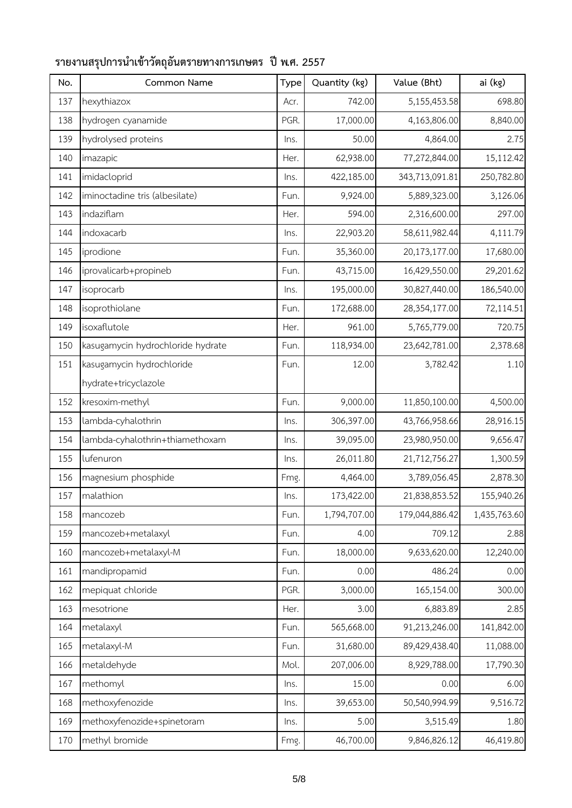| No. | Common Name                       | Type | Quantity (kg) | Value (Bht)    | ai (kg)      |
|-----|-----------------------------------|------|---------------|----------------|--------------|
| 137 | hexythiazox                       | Acr. | 742.00        | 5,155,453.58   | 698.80       |
| 138 | hydrogen cyanamide                | PGR. | 17,000.00     | 4,163,806.00   | 8,840.00     |
| 139 | hydrolysed proteins               | Ins. | 50.00         | 4,864.00       | 2.75         |
| 140 | imazapic                          | Her. | 62,938.00     | 77,272,844.00  | 15,112.42    |
| 141 | imidacloprid                      | Ins. | 422,185.00    | 343,713,091.81 | 250,782.80   |
| 142 | iminoctadine tris (albesilate)    | Fun. | 9,924.00      | 5,889,323.00   | 3,126.06     |
| 143 | indaziflam                        | Her. | 594.00        | 2,316,600.00   | 297.00       |
| 144 | indoxacarb                        | Ins. | 22,903.20     | 58,611,982.44  | 4,111.79     |
| 145 | iprodione                         | Fun. | 35,360.00     | 20,173,177.00  | 17,680.00    |
| 146 | iprovalicarb+propineb             | Fun. | 43,715.00     | 16,429,550.00  | 29,201.62    |
| 147 | isoprocarb                        | Ins. | 195,000.00    | 30,827,440.00  | 186,540.00   |
| 148 | isoprothiolane                    | Fun. | 172,688.00    | 28,354,177.00  | 72,114.51    |
| 149 | isoxaflutole                      | Her. | 961.00        | 5,765,779.00   | 720.75       |
| 150 | kasugamycin hydrochloride hydrate | Fun. | 118,934.00    | 23,642,781.00  | 2,378.68     |
| 151 | kasugamycin hydrochloride         | Fun. | 12.00         | 3,782.42       | 1.10         |
|     | hydrate+tricyclazole              |      |               |                |              |
| 152 | kresoxim-methyl                   | Fun. | 9,000.00      | 11,850,100.00  | 4,500.00     |
| 153 | lambda-cyhalothrin                | Ins. | 306,397.00    | 43,766,958.66  | 28,916.15    |
| 154 | lambda-cyhalothrin+thiamethoxam   | Ins. | 39,095.00     | 23,980,950.00  | 9,656.47     |
| 155 | lufenuron                         | Ins. | 26,011.80     | 21,712,756.27  | 1,300.59     |
| 156 | magnesium phosphide               | Fmg. | 4,464.00      | 3,789,056.45   | 2,878.30     |
| 157 | malathion                         | Ins. | 173,422.00    | 21,838,853.52  | 155,940.26   |
| 158 | mancozeb                          | Fun. | 1,794,707.00  | 179,044,886.42 | 1,435,763.60 |
| 159 | mancozeb+metalaxyl                | Fun. | 4.00          | 709.12         | 2.88         |
| 160 | mancozeb+metalaxyl-M              | Fun. | 18,000.00     | 9,633,620.00   | 12,240.00    |
| 161 | mandipropamid                     | Fun. | 0.00          | 486.24         | 0.00         |
| 162 | mepiquat chloride                 | PGR. | 3,000.00      | 165,154.00     | 300.00       |
| 163 | mesotrione                        | Her. | 3.00          | 6,883.89       | 2.85         |
| 164 | metalaxyl                         | Fun. | 565,668.00    | 91,213,246.00  | 141,842.00   |
| 165 | metalaxyl-M                       | Fun. | 31,680.00     | 89,429,438.40  | 11,088.00    |
| 166 | metaldehyde                       | Mol. | 207,006.00    | 8,929,788.00   | 17,790.30    |
| 167 | methomyl                          | Ins. | 15.00         | 0.00           | 6.00         |
| 168 | methoxyfenozide                   | Ins. | 39,653.00     | 50,540,994.99  | 9,516.72     |
| 169 | methoxyfenozide+spinetoram        | Ins. | 5.00          | 3,515.49       | 1.80         |
| 170 | methyl bromide                    | Fmg. | 46,700.00     | 9,846,826.12   | 46,419.80    |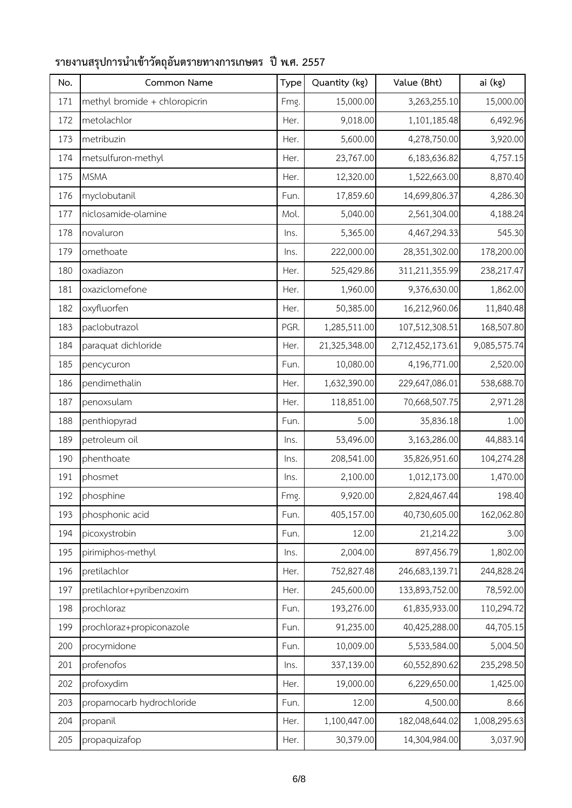| No. | Common Name                   | Type | Quantity (kg) | Value (Bht)      | ai (kg)      |
|-----|-------------------------------|------|---------------|------------------|--------------|
| 171 | methyl bromide + chloropicrin | Fmg. | 15,000.00     | 3,263,255.10     | 15,000.00    |
| 172 | metolachlor                   | Her. | 9,018.00      | 1,101,185.48     | 6,492.96     |
| 173 | metribuzin                    | Her. | 5,600.00      | 4,278,750.00     | 3,920.00     |
| 174 | metsulfuron-methyl            | Her. | 23,767.00     | 6,183,636.82     | 4,757.15     |
| 175 | <b>MSMA</b>                   | Her. | 12,320.00     | 1,522,663.00     | 8,870.40     |
| 176 | myclobutanil                  | Fun. | 17,859.60     | 14,699,806.37    | 4,286.30     |
| 177 | niclosamide-olamine           | Mol. | 5,040.00      | 2,561,304.00     | 4,188.24     |
| 178 | novaluron                     | Ins. | 5,365.00      | 4,467,294.33     | 545.30       |
| 179 | omethoate                     | Ins. | 222,000.00    | 28,351,302.00    | 178,200.00   |
| 180 | oxadiazon                     | Her. | 525,429.86    | 311,211,355.99   | 238,217.47   |
| 181 | oxaziclomefone                | Her. | 1,960.00      | 9,376,630.00     | 1,862.00     |
| 182 | oxyfluorfen                   | Her. | 50,385.00     | 16,212,960.06    | 11,840.48    |
| 183 | paclobutrazol                 | PGR. | 1,285,511.00  | 107,512,308.51   | 168,507.80   |
| 184 | paraquat dichloride           | Her. | 21,325,348.00 | 2,712,452,173.61 | 9,085,575.74 |
| 185 | pencycuron                    | Fun. | 10,080.00     | 4,196,771.00     | 2,520.00     |
| 186 | pendimethalin                 | Her. | 1,632,390.00  | 229,647,086.01   | 538,688.70   |
| 187 | penoxsulam                    | Her. | 118,851.00    | 70,668,507.75    | 2,971.28     |
| 188 | penthiopyrad                  | Fun. | 5.00          | 35,836.18        | 1.00         |
| 189 | petroleum oil                 | Ins. | 53,496.00     | 3,163,286.00     | 44,883.14    |
| 190 | phenthoate                    | Ins. | 208,541.00    | 35,826,951.60    | 104,274.28   |
| 191 | phosmet                       | Ins. | 2,100.00      | 1,012,173.00     | 1,470.00     |
| 192 | phosphine                     | Fmg. | 9,920.00      | 2,824,467.44     | 198.40       |
| 193 | phosphonic acid               | Fun. | 405,157.00    | 40,730,605.00    | 162,062.80   |
| 194 | picoxystrobin                 | Fun. | 12.00         | 21,214.22        | 3.00         |
| 195 | pirimiphos-methyl             | Ins. | 2,004.00      | 897,456.79       | 1,802.00     |
| 196 | pretilachlor                  | Her. | 752,827.48    | 246,683,139.71   | 244,828.24   |
| 197 | pretilachlor+pyribenzoxim     | Her. | 245,600.00    | 133,893,752.00   | 78,592.00    |
| 198 | prochloraz                    | Fun. | 193,276.00    | 61,835,933.00    | 110,294.72   |
| 199 | prochloraz+propiconazole      | Fun. | 91,235.00     | 40,425,288.00    | 44,705.15    |
| 200 | procymidone                   | Fun. | 10,009.00     | 5,533,584.00     | 5,004.50     |
| 201 | profenofos                    | Ins. | 337,139.00    | 60,552,890.62    | 235,298.50   |
| 202 | profoxydim                    | Her. | 19,000.00     | 6,229,650.00     | 1,425.00     |
| 203 | propamocarb hydrochloride     | Fun. | 12.00         | 4,500.00         | 8.66         |
| 204 | propanil                      | Her. | 1,100,447.00  | 182,048,644.02   | 1,008,295.63 |
| 205 | propaquizafop                 | Her. | 30,379.00     | 14,304,984.00    | 3,037.90     |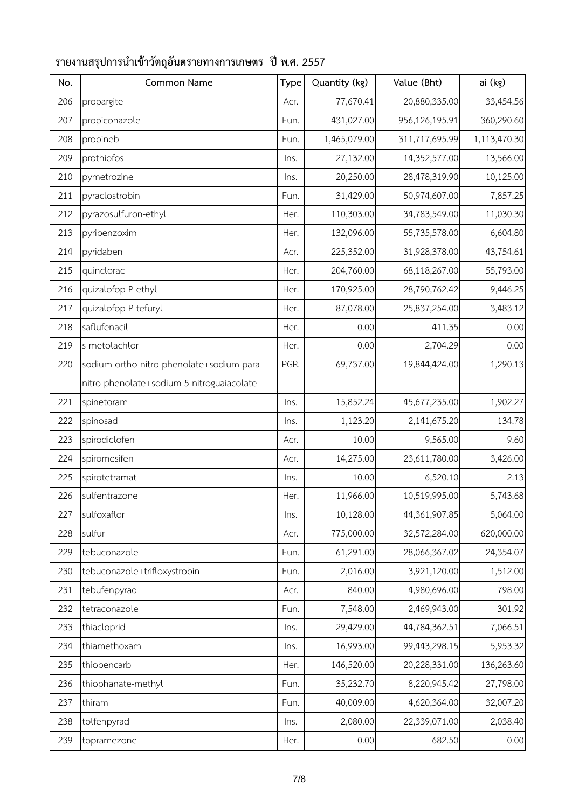| No. | Common Name                               | Type | Quantity (kg) | Value (Bht)    | ai (kg)      |
|-----|-------------------------------------------|------|---------------|----------------|--------------|
| 206 | propargite                                | Acr. | 77,670.41     | 20,880,335.00  | 33,454.56    |
| 207 | propiconazole                             | Fun. | 431,027.00    | 956,126,195.91 | 360,290.60   |
| 208 | propineb                                  | Fun. | 1,465,079.00  | 311,717,695.99 | 1,113,470.30 |
| 209 | prothiofos                                | Ins. | 27,132.00     | 14,352,577.00  | 13,566.00    |
| 210 | pymetrozine                               | Ins. | 20,250.00     | 28,478,319.90  | 10,125.00    |
| 211 | pyraclostrobin                            | Fun. | 31,429.00     | 50,974,607.00  | 7,857.25     |
| 212 | pyrazosulfuron-ethyl                      | Her. | 110,303.00    | 34,783,549.00  | 11,030.30    |
| 213 | pyribenzoxim                              | Her. | 132,096.00    | 55,735,578.00  | 6,604.80     |
| 214 | pyridaben                                 | Acr. | 225,352.00    | 31,928,378.00  | 43,754.61    |
| 215 | quinclorac                                | Her. | 204,760.00    | 68,118,267.00  | 55,793.00    |
| 216 | quizalofop-P-ethyl                        | Her. | 170,925.00    | 28,790,762.42  | 9,446.25     |
| 217 | quizalofop-P-tefuryl                      | Her. | 87,078.00     | 25,837,254.00  | 3,483.12     |
| 218 | saflufenacil                              | Her. | 0.00          | 411.35         | 0.00         |
| 219 | s-metolachlor                             | Her. | 0.00          | 2,704.29       | 0.00         |
| 220 | sodium ortho-nitro phenolate+sodium para- | PGR. | 69,737.00     | 19,844,424.00  | 1,290.13     |
|     | nitro phenolate+sodium 5-nitroguaiacolate |      |               |                |              |
| 221 | spinetoram                                | Ins. | 15,852.24     | 45,677,235.00  | 1,902.27     |
| 222 | spinosad                                  | Ins. | 1,123.20      | 2,141,675.20   | 134.78       |
| 223 | spirodiclofen                             | Acr. | 10.00         | 9,565.00       | 9.60         |
| 224 | spiromesifen                              | Acr. | 14,275.00     | 23,611,780.00  | 3,426.00     |
| 225 | spirotetramat                             | Ins. | 10.00         | 6,520.10       | 2.13         |
| 226 | sulfentrazone                             | Her. | 11,966.00     | 10,519,995.00  | 5,743.68     |
| 227 | sulfoxaflor                               | Ins. | 10,128.00     | 44,361,907.85  | 5,064.00     |
| 228 | sulfur                                    | Acr. | 775,000.00    | 32,572,284.00  | 620,000.00   |
| 229 | tebuconazole                              | Fun. | 61,291.00     | 28,066,367.02  | 24,354.07    |
| 230 | tebuconazole+trifloxystrobin              | Fun. | 2,016.00      | 3,921,120.00   | 1,512.00     |
| 231 | tebufenpyrad                              | Acr. | 840.00        | 4,980,696.00   | 798.00       |
| 232 | tetraconazole                             | Fun. | 7,548.00      | 2,469,943.00   | 301.92       |
| 233 | thiacloprid                               | Ins. | 29,429.00     | 44,784,362.51  | 7,066.51     |
| 234 | thiamethoxam                              | Ins. | 16,993.00     | 99,443,298.15  | 5,953.32     |
| 235 | thiobencarb                               | Her. | 146,520.00    | 20,228,331.00  | 136,263.60   |
| 236 | thiophanate-methyl                        | Fun. | 35,232.70     | 8,220,945.42   | 27,798.00    |
| 237 | thiram                                    | Fun. | 40,009.00     | 4,620,364.00   | 32,007.20    |
| 238 | tolfenpyrad                               | Ins. | 2,080.00      | 22,339,071.00  | 2,038.40     |
| 239 | topramezone                               | Her. | 0.00          | 682.50         | 0.00         |